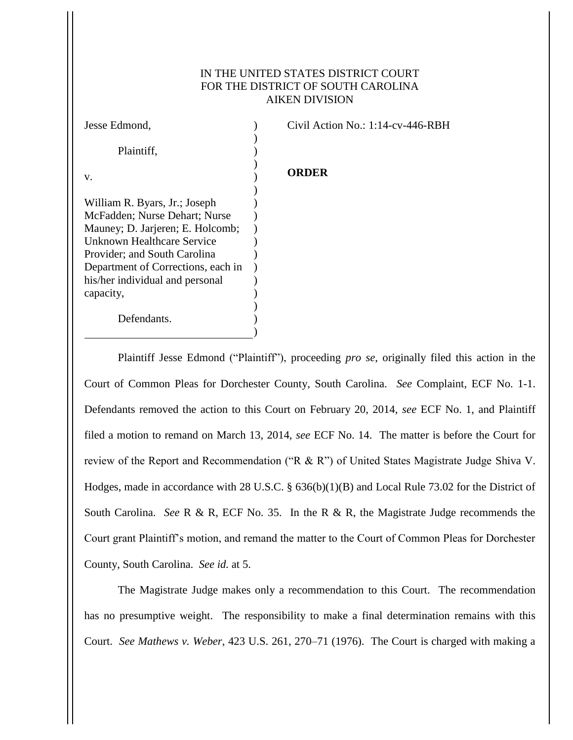## IN THE UNITED STATES DISTRICT COURT FOR THE DISTRICT OF SOUTH CAROLINA AIKEN DIVISION

| Jesse Edmond,                      | Civil Action No.: 1:14-cv-446-RBH |
|------------------------------------|-----------------------------------|
| Plaintiff,                         |                                   |
| V.                                 | <b>ORDER</b>                      |
|                                    |                                   |
| William R. Byars, Jr.; Joseph      |                                   |
| McFadden; Nurse Dehart; Nurse      |                                   |
| Mauney; D. Jarjeren; E. Holcomb;   |                                   |
| Unknown Healthcare Service         |                                   |
| Provider; and South Carolina       |                                   |
| Department of Corrections, each in |                                   |
| his/her individual and personal    |                                   |
| capacity,                          |                                   |
|                                    |                                   |
| Defendants.                        |                                   |
|                                    |                                   |
|                                    |                                   |

Plaintiff Jesse Edmond ("Plaintiff"), proceeding *pro se*, originally filed this action in the Court of Common Pleas for Dorchester County, South Carolina. *See* Complaint, ECF No. 1-1. Defendants removed the action to this Court on February 20, 2014, *see* ECF No. 1, and Plaintiff filed a motion to remand on March 13, 2014, *see* ECF No. 14. The matter is before the Court for review of the Report and Recommendation ("R & R") of United States Magistrate Judge Shiva V. Hodges, made in accordance with 28 U.S.C. § 636(b)(1)(B) and Local Rule 73.02 for the District of South Carolina. *See* R & R, ECF No. 35. In the R & R, the Magistrate Judge recommends the Court grant Plaintiff's motion, and remand the matter to the Court of Common Pleas for Dorchester County, South Carolina. *See id.* at 5.

The Magistrate Judge makes only a recommendation to this Court. The recommendation has no presumptive weight. The responsibility to make a final determination remains with this Court. *See Mathews v. Weber*, 423 U.S. 261, 270–71 (1976). The Court is charged with making a